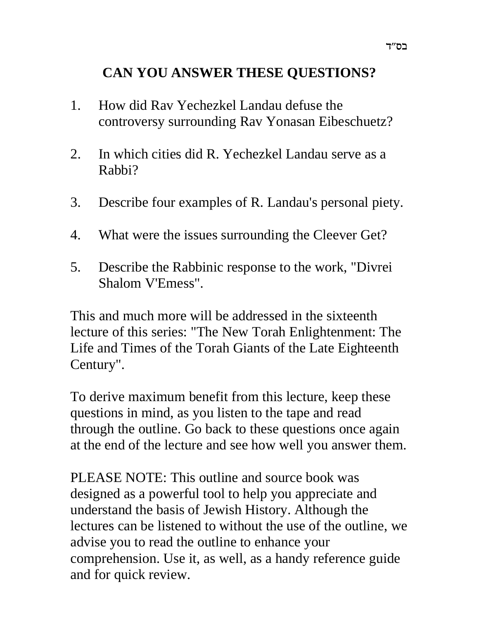# **CAN YOU ANSWER THESE QUESTIONS?**

- 1. How did Rav Yechezkel Landau defuse the controversy surrounding Rav Yonasan Eibeschuetz?
- 2. In which cities did R. Yechezkel Landau serve as a Rabbi?
- 3. Describe four examples of R. Landau's personal piety.
- 4. What were the issues surrounding the Cleever Get?
- 5. Describe the Rabbinic response to the work, "Divrei Shalom V'Emess".

This and much more will be addressed in the sixteenth lecture of this series: "The New Torah Enlightenment: The Life and Times of the Torah Giants of the Late Eighteenth Century".

To derive maximum benefit from this lecture, keep these questions in mind, as you listen to the tape and read through the outline. Go back to these questions once again at the end of the lecture and see how well you answer them.

PLEASE NOTE: This outline and source book was designed as a powerful tool to help you appreciate and understand the basis of Jewish History. Although the lectures can be listened to without the use of the outline, we advise you to read the outline to enhance your comprehension. Use it, as well, as a handy reference guide and for quick review.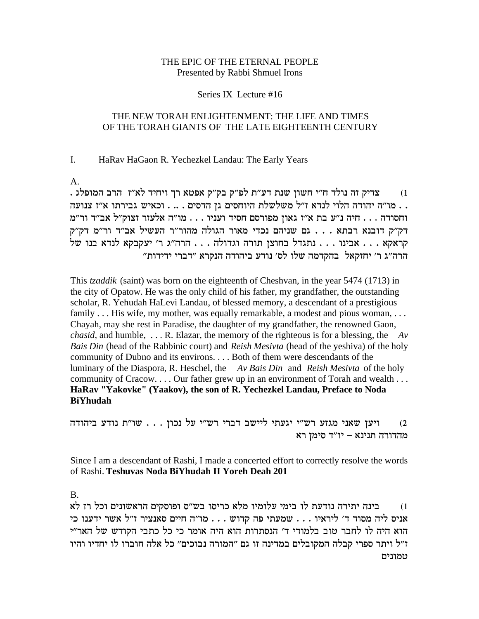### THE EPIC OF THE ETERNAL PEOPLE Presented by Rabbi Shmuel Irons

#### Series IX Lecture #16

### THE NEW TORAH ENLIGHTENMENT: THE LIFE AND TIMES OF THE TORAH GIANTS OF THE LATE EIGHTEENTH CENTURY

#### I. HaRav HaGaon R. Yechezkel Landau: The Early Years

 $A_{\cdot}$ 

צדיק זה נולד ח"י חשון שנת דע"ת לפ"ק בק"ק אפטא רך ויחיד לא"ז הרב המופלג .  $(1)$ . . מו"ה יהודה הלוי לנדא ז"ל משלשלת היוחסים גן הדסים . .. . וכאיש גבירתו א"ז צנועה וחסודה . . . חיה נ"ע בת א"ז גאון מפורסם חסיד ועניו . . . מו"ה אלעזר זצוק"ל אב"ד ור"מ דק״ק דובנא רבתא . . . גם שניהם נכדי מאור הגולה מהור״ר העשיל אב״ד ור״מ דק״ק קראקא ... אבינו ... נתגדל בחוצן תורה וגדולה ... הרה"ג ר' יעקבקא לנדא בנו של הרה"ג ר' יחזקאל בהקדמה שלו לס' נודע ביהודה הנקרא "דברי ידידות"

This *tzaddik* (saint) was born on the eighteenth of Cheshvan, in the year 5474 (1713) in the city of Opatow. He was the only child of his father, my grandfather, the outstanding scholar, R. Yehudah HaLevi Landau, of blessed memory, a descendant of a prestigious family ... His wife, my mother, was equally remarkable, a modest and pious woman, ... Chayah, may she rest in Paradise, the daughter of my grandfather, the renowned Gaon, *chasid*, and humble, ... R. Elazar, the memory of the righteous is for a blessing, the  $Av$ Bais Din (head of the Rabbinic court) and Reish Mesivta (head of the yeshiva) of the holy community of Dubno and its environs. . . . Both of them were descendants of the luminary of the Diaspora, R. Heschel, the Av Bais Din and Reish Mesivta of the holy community of Cracow.... Our father grew up in an environment of Torah and wealth... HaRav "Yakovke" (Yaakov), the son of R. Yechezkel Landau, Preface to Noda **BiYhudah** 

ויען שאני מגזע רש"י יגעתי ליישב דברי רש"י על נכון . . . שו"ת נודע ביהודה  $(2)$ מהדורה תנינא – יו"ד סימן רא

Since I am a descendant of Rashi, I made a concerted effort to correctly resolve the words of Rashi. Teshuvas Noda BiYhudah II Yoreh Deah 201

**B.** 

בינה יתירה נודעת לו בימי עלומיו מלא כריסו בש"ס ופוסקים הראשונים וכל רז לא  $(1)$ ידענו כי A<br/>ויס סאנציר איל ... שמעתי פה היים ... מו"ה אניס ליה מסוד <br/>ו $\cdot$  אניס ליה מסוד הוא היה לו לחבר טוב בלמודי ד' הנסתרות הוא היה אומר כי כל כתבי הקודש של האר"י ז"ל ויתר ספרי קבלה המקובלים במדינה זו גם "המורה נבוכים" כל אלה חוברו לו יחדיו והיו טמונים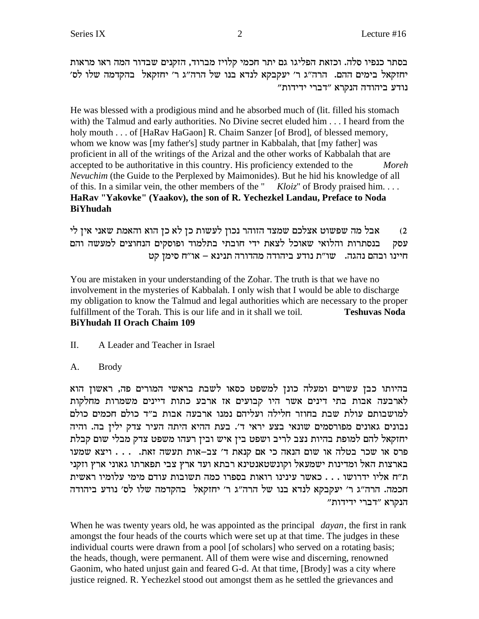בסתר כנפיו סלה. וכזאת הפליגו גם יתר חכמי קלויז מברוד, הזקנים שבדור המה ראו מראות יחזקאל בימים ההם. הרה"ג ר' יעקבקא לנדא בנו של הרה"ג ר' יחזקאל בהקדמה שלו לס' נודע ביהודה הנקרא "דברי ידידות"

He was blessed with a prodigious mind and he absorbed much of (lit. filled his stomach with) the Talmud and early authorities. No Divine secret eluded him . . . I heard from the holy mouth . . . of [HaRav HaGaon] R. Chaim Sanzer [of Brod], of blessed memory, whom we know was [my father's] study partner in Kabbalah, that [my father] was proficient in all of the writings of the Arizal and the other works of Kabbalah that are accepted to be authoritative in this country. His proficiency extended to the Moreh Nevuchim (the Guide to the Perplexed by Maimonides). But he hid his knowledge of all of this. In a similar vein, the other members of the "  $Kloiz$ " of Brody praised him... HaRav "Yakovke" (Yaakov), the son of R. Yechezkel Landau, Preface to Noda **RiYhudah** 

אבל מה שפשוט אצלכם שמצד הזוהר נכון לעשות כן לא כן הוא והאמת שאני אין לי  $(2)$ בנסתרות והלואי שאוכל לצאת ידי חובתי בתלמוד ופוסקים הנחוצים למעשה והם עסק יינו ובהם נהגה. שו"ת נודע ביהודה מהדורה תנינא – או"ח סימן קט

You are mistaken in your understanding of the Zohar. The truth is that we have no involvement in the mysteries of Kabbalah. I only wish that I would be able to discharge my obligation to know the Talmud and legal authorities which are necessary to the proper fulfillment of the Torah. This is our life and in it shall we toil. **Teshuvas Noda BiYhudah II Orach Chaim 109** 

- П. A Leader and Teacher in Israel
- $A_{\cdot}$ **Brody**

בהיותו כבן עשרים ומעלה כונן למשפט כסאו לשבת בראשי המורים פה, ראשון הוא לארבעה אבות בתי דינים אשר היו קבועים אז ארבע כתות דיינים משמרות מחלקות למושבותם עולת שבת בחוזר חלילה ועליהם נמנו ארבעה אבות ב״ד כולם חכמים כולם נבונים גאונים מפורסמים שונאי בצע יראי ד׳. בעת ההיא היתה העיר צדק ילין בה. והיה יחזקאל להם למופת בהיות נצב לריב ושפט בין איש ובין רעהו משפט צדק מבלי שום קבלת פרס או שכר בטלה או שום הנאה כי אם קנאת ד' צב–אות תעשה זאת. . . . . ויצא שמעו בארצות האל ומדינות ישמעאל וקונשטאנטינא רבתא ועד ארץ צבי תפארתו גאוני ארץ וזקני ת״ח אליו ידרושו . . . כאשר עינינו רואות בספרו כמה תשובות עודם מימי עלומיו ראשית חכמה. הרה"ג ר' יעקבקא לנדא בנו של הרה"ג ר' יחזקאל בהקדמה שלו לס' נודע ביהודה הנקרא "דברי ידידות"

When he was twenty years old, he was appointed as the principal *dayan*, the first in rank amongst the four heads of the courts which were set up at that time. The judges in these individual courts were drawn from a pool [of scholars] who served on a rotating basis; the heads, though, were permanent. All of them were wise and discerning, renowned Gaonim, who hated unjust gain and feared G-d. At that time, [Brody] was a city where justice reigned. R. Yechezkel stood out amongst them as he settled the grievances and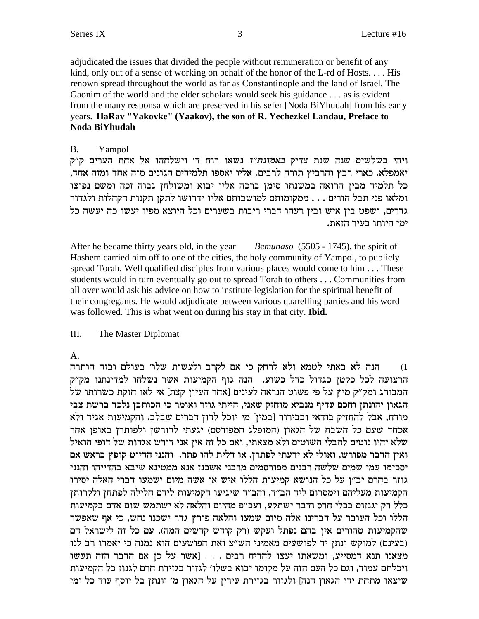adjudicated the issues that divided the people without remuneration or benefit of any kind, only out of a sense of working on behalf of the honor of the L-rd of Hosts.... His renown spread throughout the world as far as Constantinople and the land of Israel. The Gaonim of the world and the elder scholars would seek his guidance . . . as is evident from the many responsa which are preserved in his sefer [Noda BiYhudah] from his early years. HaRav "Yakovke" (Yaakov), the son of R. Yechezkel Landau, Preface to Noda BiYhudah

#### $\mathbf{B}$ . Yampol

ויהי בשלשים שנה שנת צדיק *באמונת"ו* נשאו רוח ד' וישלחהו אל אחת הערים ק"ק יאמפלא. כארי רבץ והרביץ תורה לרבים. אליו יאספו תלמידים הגונים מזה אחד ומזה אחד. כל תלמיד מבין הרואה במשנתו סימן ברכה אליו יבוא ומשולחן גבוה זכה ומשם נפוצו ומלאו פני תבל הורים . . . ממקומותם למושבותם אליו ידרושו לתקז תקנות הקהלות ולגדור גדרים, ושפט בין איש ובין רעהו דברי ריבות בשערים וכל היוצא מפיו יעשו כה יעשה כל ימי היותו בעיר הזאת.

After he became thirty years old, in the year *Bemunaso* (5505 - 1745), the spirit of Hashem carried him off to one of the cities, the holy community of Yampol, to publicly spread Torah. Well qualified disciples from various places would come to him . . . These students would in turn eventually go out to spread Torah to others . . . Communities from all over would ask his advice on how to institute legislation for the spiritual benefit of their congregants. He would adjudicate between various quarelling parties and his word was followed. This is what went on during his stay in that city. Ibid.

#### III. The Master Diplomat

# $A_{\cdot}$

הנה לא באתי לטמא ולא לרחק כי אם לקרב ולעשות שלו׳ בעולם ובזה הותרה  $(1)$ הרצועה לכל כקטן כגדול כדל כשוע. הנה גוף הקמיעות אשר נשלחו למדינתנו מק"ק המבורג ומק"ק מיץ על פי פשוט הנראה לעינים [אחר העיון קצת] אי לאו חזקת כשרותו של הגאון יהונתן וחכם עדיף מנביא מוחזק שאני, הייתי גוזר ואומר כי הכותבן נלכד ברשת צבי מודח, אבל להחזיק בודאי ובבירור [במין] מי יוכל לדון דברים שבלב. והקמיעות אגיד ולא אכחד שעם כל השבח של הגאון (המופלג המפורסם) יגעתי לדורשן ולפותרן באופן אחר שלא יהיו נוטים להבלי השוטים ולא מצאתי, ואם כל זה אין אני דורש אגדות של דופי הואיל ואין הדבר מפורש, ואולי לא ידעתי לפתרן, או דלית להו פתר. והנני הדיוט קופץ בראש אם יסכימו עמי שמים שלשה רבנים מפורסמים מרבני אשכנז אנא ממטינא שיבא בהדייהו והנני גוזר בחרם יב"ן על כל הנושא קמיעות הללו איש או אשה מיום ישמעו דברי האלה יסירו הקמיעות מעליהם וימסרום ליד הב"ד, והב"ד שיגיעו הקמיעות לידם חלילה לפתחן ולקרותן כלל רק יגנזום בכלי חרס ודבר ישתקע, ועכ"פ מהיום והלאה לא ישתמש שום אדם בקמיעות הללו וכל העובר על דברינו אלה מיום שמעו והלאה פורץ גדר ישכנו נחש, כי אף שאפשר שהקמיעות טהורים אין בהם נפתל ועקש (רק קודש קדשים המה), עם כל זה לישראל הם (בעינם) למוקש ונתן יד לפושעים מאמיני הש"צ ואת הפושעים הוא נמנה כי יאמרו רב לנו מצאנו תנא דמסייע, ומשאתו יעצו להדיח רבים . . . [אשר על כן אם הדבר הזה תעשו ויכלתם עמוד, וגם כל העם הזה על מקומו יבוא בשלו׳ לגזור בגזירת חרם לגנוז כל הקמיעות שיצאו מתחת ידי הגאון הנה] ולגזור בגזירת עירין על הגאון מ׳ יונתן בל יוסף עוד כל ימי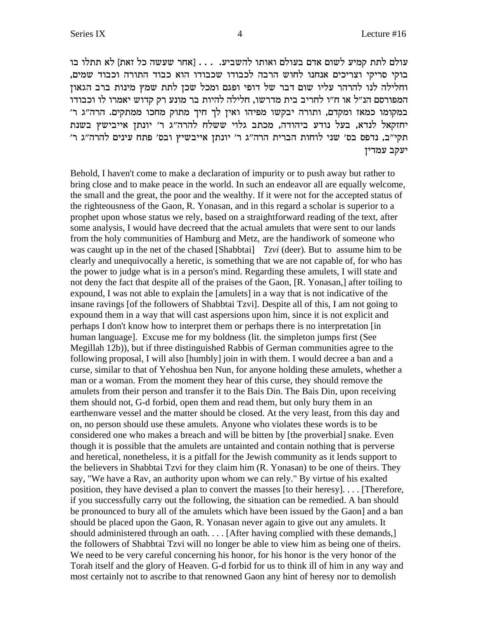עולם לתת קמיע לשום אדם בעולם ואותו להשביע. . . . [אחר שעשה כל זאת] לא תתלו בו בוקי סריקי וצריכים אנחנו לחוש הרבה לכבודו שכבודו הוא כבוד התורה וכבוד שמים, וחלילה לנו להרהר עליו שום דבר של דופי ופגם ומכל שכן לתת שמץ מינות ברב הגאון המפורסם הנ״ל או ח״ו לחריב בית מדרשו, חלילה להיות בר מונע רק קדוש יאמרו לו וכבודו במקומו כמאז ומקדם, ותורה יבקשו מפיהו ואין לך חיך מתוק מחכו ממתקים. הרה"ג ר' יחזקאל לנדא, בעל נודע ביהודה, מכתב גלוי ששלח להרה"ג ר' יונתן אייבישץ בשנת תקי"ב, נדפס בס' שני לוחות הברית הרה"ג ר' יונתן אייבשיץ ובס' פתח עינים להרה"ג ר' יעקב עמדין

Behold, I haven't come to make a declaration of impurity or to push away but rather to bring close and to make peace in the world. In such an endeavor all are equally welcome, the small and the great, the poor and the wealthy. If it were not for the accepted status of the righteousness of the Gaon, R. Yonasan, and in this regard a scholar is superior to a prophet upon whose status we rely, based on a straightforward reading of the text, after some analysis, I would have decreed that the actual amulets that were sent to our lands from the holy communities of Hamburg and Metz, are the handiwork of someone who was caught up in the net of the chased [Shabbtai]  $T_z$  (deer). But to assume him to be clearly and unequivocally a heretic, is something that we are not capable of, for who has the power to judge what is in a person's mind. Regarding these amulets, I will state and not deny the fact that despite all of the praises of the Gaon, [R. Yonasan,] after toiling to expound, I was not able to explain the [amulets] in a way that is not indicative of the insane ravings [of the followers of Shabbtai Tzvi]. Despite all of this, I am not going to expound them in a way that will cast aspersions upon him, since it is not explicit and perhaps I don't know how to interpret them or perhaps there is no interpretation [in human language]. Excuse me for my boldness (lit. the simpleton jumps first (See Megillah 12b)), but if three distinguished Rabbis of German communities agree to the following proposal, I will also [humbly] join in with them. I would decree a ban and a curse, similar to that of Yehoshua ben Nun, for anyone holding these amulets, whether a man or a woman. From the moment they hear of this curse, they should remove the amulets from their person and transfer it to the Bais Din. The Bais Din, upon receiving them should not, G-d forbid, open them and read them, but only bury them in an earthenware vessel and the matter should be closed. At the very least, from this day and on, no person should use these amulets. Anyone who violates these words is to be considered one who makes a breach and will be bitten by [the proverbial] snake. Even though it is possible that the amulets are untainted and contain nothing that is perverse and heretical, nonetheless, it is a pitfall for the Jewish community as it lends support to the believers in Shabbtai Tzvi for they claim him (R. Yonasan) to be one of theirs. They say, "We have a Rav, an authority upon whom we can rely." By virtue of his exalted position, they have devised a plan to convert the masses [to their heresy].... [Therefore, if you successfully carry out the following, the situation can be remedied. A ban should be pronounced to bury all of the amulets which have been issued by the Gaon] and a ban should be placed upon the Gaon, R. Yonasan never again to give out any amulets. It should administered through an oath.... [After having complied with these demands.] the followers of Shabbtai Tzvi will no longer be able to view him as being one of theirs. We need to be very careful concerning his honor, for his honor is the very honor of the Torah itself and the glory of Heaven. G-d forbid for us to think ill of him in any way and most certainly not to ascribe to that renowned Gaon any hint of heresy nor to demolish

 $\overline{4}$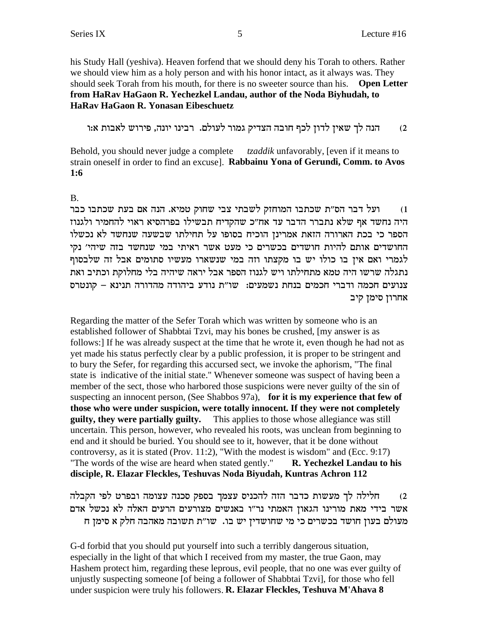his Study Hall (yeshiva). Heaven forfend that we should deny his Torah to others. Rather we should view him as a holy person and with his honor intact, as it always was. They should seek Torah from his mouth, for there is no sweeter source than his. Open Letter from HaRav HaGaon R. Yechezkel Landau, author of the Noda Biyhudah, to **HaRav HaGaon R. Yonasan Eibeschuetz** 

הנה לך שאין לדון לכף חובה הצדיק גמור לעולם. רבינו יונה, פירוש לאבות א:ו  $(2)$ 

Behold, you should never judge a complete *tzaddik* unfavorably, [even if it means to strain oneself in order to find an excuse]. Rabbainu Yona of Gerundi, Comm. to Avos  $1:6$ 

### **B.**

ועל דבר הס"ת שכתבו המוחזק לשבתי צבי שחוק טמיא. הנה אם בעת שכתבו כבר  $(1)$ היה נחשד אף שלא נתברר הדבר עד אח"כ שהקדיח תבשילו בפרהסיא ראוי להחמיר ולגנוז הספר כי בכת הארורה הזאת אמרינן הוכיח בסופו על תחילתו שבשעה שנחשד לא נכשלו החושדים אותם להיות חושדים בכשרים כי מעט אשר ראיתי במי שנחשד בזה שיהי׳ נקי לגמרי ואם אין בו כולו יש בו מקצתו וזה במי שנשארו מעשיו סתומים אבל זה שלבסוף נתגלה שרשו היה טמא מתחילתו ויש לגנוז הספר אבל יראה שיהיה בלי מחלוקת וכתיב ואת צנועים חכמה ודברי חכמים בנחת נשמעים: שו"ת נודע ביהודה מהדורה תנינא – קונטרס אחרון סימן קיב

Regarding the matter of the Sefer Torah which was written by someone who is an established follower of Shabbtai Tzvi, may his bones be crushed, [my answer is as follows: I If he was already suspect at the time that he wrote it, even though he had not as yet made his status perfectly clear by a public profession, it is proper to be stringent and to bury the Sefer, for regarding this accursed sect, we invoke the aphorism, "The final state is indicative of the initial state." Whenever someone was suspect of having been a member of the sect, those who harbored those suspicions were never guilty of the sin of suspecting an innocent person, (See Shabbos 97a), for it is my experience that few of those who were under suspicion, were totally innocent. If they were not completely guilty, they were partially guilty. This applies to those whose allegiance was still uncertain. This person, however, who revealed his roots, was unclean from beginning to end and it should be buried. You should see to it, however, that it be done without controversy, as it is stated (Prov. 11:2), "With the modest is wisdom" and (Ecc. 9:17) "The words of the wise are heard when stated gently." R. Yechezkel Landau to his disciple, R. Elazar Fleckles, Teshuvas Noda Biyudah, Kuntras Achron 112

חלילה לך מעשות כדבר הזה להכניס עצמך בספק סכנה עצומה ובפרט לפי הקבלה  $(2)$ אשר בידי מאת מורינו הגאון האמתי נר״ו באנשים מצורעים הרעים האלה לא נכשל אדם מעולם בעון חושד בכשרים כי מי שחושדין יש בו. שו"ת תשובה מאהבה חלק א סימן ח

G-d forbid that you should put yourself into such a terribly dangerous situation, especially in the light of that which I received from my master, the true Gaon, may Hashem protect him, regarding these leprous, evil people, that no one was ever guilty of unjustly suspecting someone [of being a follower of Shabbtai Tzvi], for those who fell under suspicion were truly his followers. R. Elazar Fleckles, Teshuva M'Ahava 8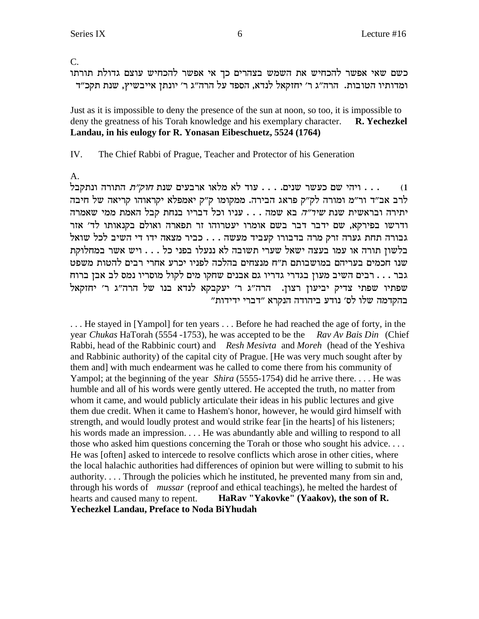$\mathcal{C}$ .

כשם שאי אפשר להכחיש את השמש בצהרים כך אי אפשר להכחיש עוצם גדולת תורתו ומדותיו הטובות. הרה"ג ר' יחזקאל לנדא, הספד על הרה"ג ר' יונתן אייבשיץ, שנת תקכ"ד

Just as it is impossible to deny the presence of the sun at noon, so too, it is impossible to deny the greatness of his Torah knowledge and his exemplary character. **R.** Yechezkel Landau, in his eulogy for R. Yonasan Eibeschuetz, 5524 (1764)

IV. The Chief Rabbi of Prague, Teacher and Protector of his Generation

 $A<sub>1</sub>$ 

ייהי שם כעשר שנים. . . . עוד לא מלאו ארבעים שנת *חוק״ת* התורה ונתקבל . . .  $(1)$ לרב אב"ד ור"מ ומורה לק"ק פראג הבירה. ממקומו ק"ק יאמפלא יקראוהו קריאה של חיבה יתירה ובראשית שנת שיר"ה בא שמה . . . עניו וכל דבריו בנחת קבל האמת ממי שאמרה ודרשו בפירקא, שם ידבר דבר בשם אומרו יעטרוהו זר תפארה ואולם בקנאותו לד׳ אזר גבורה תחת גערה זרק מרה בדבורו קעביד מעשה . . . כביר מצאה ידו די השיב לכל שואל בלשון תורה או עמו בעצה ישאל שערי תשובה לא ננעלו בפני כל . . . ויש אשר במחלוקת שנו חכמים בעריהם במושבותם ת"ח מנצחים בהלכה לפניו יכרע אחרי רבים להטות משפט גבר . . . רבים השיב מעון בגדרי גדריו גם אבנים שחקו מים לקול מוסריו נמס לב אבן ברוח שפתיו שפתי צדיק יביעון רצון. הרה"ג ר' יעקבקא לנדא בנו של הרה"ג ר' יחזקאל בהקדמה שלו לס׳ נודע ביהודה הנקרא ״דברי ידידות״

... He stayed in [Yampol] for ten years ... Before he had reached the age of forty, in the year Chukas HaTorah (5554 - 1753), he was accepted to be the Rav Av Bais Din (Chief Rabbi, head of the Rabbinic court) and Resh Mesivta and Moreh (head of the Yeshiva and Rabbinic authority) of the capital city of Prague. [He was very much sought after by them and] with much endearment was he called to come there from his community of Yampol; at the beginning of the year *Shira* (5555-1754) did he arrive there... He was humble and all of his words were gently uttered. He accepted the truth, no matter from whom it came, and would publicly articulate their ideas in his public lectures and give them due credit. When it came to Hashem's honor, however, he would gird himself with strength, and would loudly protest and would strike fear [in the hearts] of his listeners; his words made an impression.... He was abundantly able and willing to respond to all those who asked him questions concerning the Torah or those who sought his advice.... He was [often] asked to intercede to resolve conflicts which arose in other cities, where the local halachic authorities had differences of opinion but were willing to submit to his authority.... Through the policies which he instituted, he prevented many from sin and, through his words of *mussar* (reproof and ethical teachings), he melted the hardest of hearts and caused many to repent. HaRav "Yakovke" (Yaakov), the son of R. **Yechezkel Landau, Preface to Noda BiYhudah**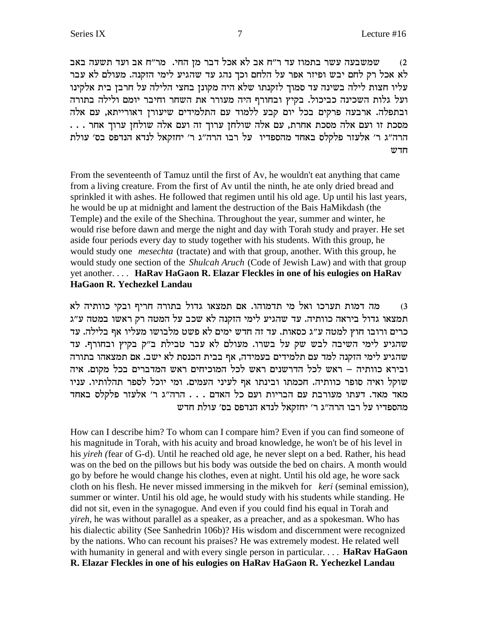שמשבעה עשר בתמוז עד ר"ח אב לא אכל דבר מן החי. מר"ח אב ועד תשעה באב  $\,$ לא אכל רק לחם יבש ופיזר אפר על הלחם וכך נהג עד שהגיע לימי הזקנה. מעולם לא עבר עליו חצות לילה בשינה עד סמוך לזקנתו שלא היה מקונן בחצי הלילה על חרבן בית אלקינו ועל גלות השכינה כביכול. בקיץ ובחורף היה מעורר את השחר וחיבר יומם ולילה בתורה ובתפלה. ארבעה פרקים בכל יום קבע ללמוד עם התלמידים שיעורן דאורייתא, עם אלה . . . . מסכת זו ועם אלה מסכת אחרת, עם אלה שולחן ערוך זה ועם אלה שולחן ערוך אחר הרה"ג ר' אלעזר פלקלס באחד מהספדיו על רבו הרה"ג ר' יחזקאל לנדא הנדפס בס' עולת  $\n T\n T\n$ 

From the seventeenth of Tamuz until the first of Av, he wouldn't eat anything that came from a living creature. From the first of Av until the ninth, he ate only dried bread and sprinkled it with ashes. He followed that regimen until his old age. Up until his last years, he would be up at midnight and lament the destruction of the Bais HaMikdash (the Temple) and the exile of the Shechina. Throughout the year, summer and winter, he would rise before dawn and merge the night and day with Torah study and prayer. He set aside four periods every day to study together with his students. With this group, he would study one *mesechta* (tractate) and with that group, another. With this group, he would study one section of the *Shulcah Aruch* (Code of Jewish Law) and with that group yet another. . . . **HaRav HaGaon R. Elazar Fleckles in one of his eulogies on HaRav HaGaon R. Yechezkel Landau**

מה דמות תערכו ואל מי תדמוהו. אם תמצאו גדול בתורה חריף ובקי כוותיה לא תמצאו גדול ביראה כוותיה. עד שהגיע לימי הזקנה לא שכב על המטה רק ראשו במטה ע"ג כרים ורובו חוץ למטה ע״ג כסאות. עד זה חדש ימים לא פשט מלבושו מעליו אף בלילה. עד שהגיע לימי השיבה לבש שק על בשרו. מעולם לא עבר טבילת ב"ק בקיץ ובחורף. עד שהגיע לימי הזקנה למד עם תלמידים בעמידה, אף בבית הכנסת לא ישב. אם תמצאהו בתורה ובירא כוותיה – ראש לכל הדרשנים ראש לכל המוכיחים ראש המדברים בכל מקום. איה שוקל ואיה סופר כוותיה. חכמתו ובינתו אף לעיני העמים. ומי יוכל לספר תהלותיו. עניו מאד מאד. דעתו מעורבת עם הבריות ועם כל האדם . . . הרה"ג ר' אלעזר פלקלס באחד מהספדיו על רבו הרה"ג ר' יחזקאל לנדא הנדפס בס' עולת חדש

How can I describe him? To whom can I compare him? Even if you can find someone of his magnitude in Torah, with his acuity and broad knowledge, he won't be of his level in his *yireh (*fear of G-d). Until he reached old age, he never slept on a bed. Rather, his head was on the bed on the pillows but his body was outside the bed on chairs. A month would go by before he would change his clothes, even at night. Until his old age, he wore sack cloth on his flesh. He never missed immersing in the mikveh for *keri* (seminal emission), summer or winter. Until his old age, he would study with his students while standing. He did not sit, even in the synagogue. And even if you could find his equal in Torah and *yireh*, he was without parallel as a speaker, as a preacher, and as a spokesman. Who has his dialectic ability (See Sanhedrin 106b)? His wisdom and discernment were recognized by the nations. Who can recount his praises? He was extremely modest. He related well with humanity in general and with every single person in particular. . . . **HaRav HaGaon R. Elazar Fleckles in one of his eulogies on HaRav HaGaon R. Yechezkel Landau**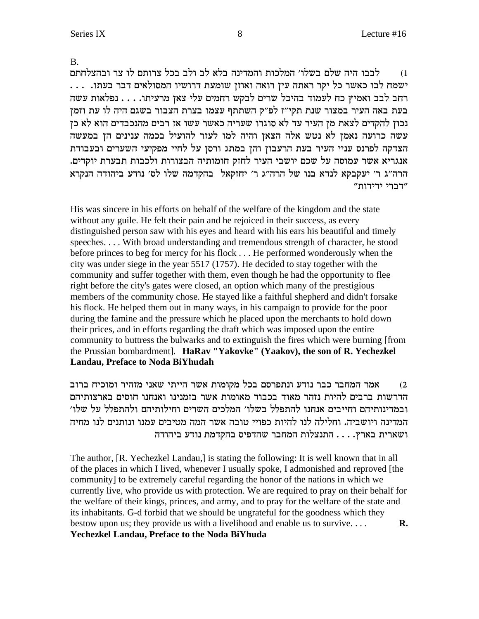**B.** 

לבבו היה שלם בשלו׳ המלכות והמדינה בלא לב ולב בכל צרותם לו צר ובהצלחתם  $(1)$ רחב לבב ואמיץ כח לעמוד בהיכל שרים לבקש רחמים עלי צאן מרעיתו. . . . נפלאות עשה בעת באה העיר במצור שנת תקי"ז לפ"ק השתתף עצמו בצרת הצבור בשגם היה לו עת וזמן נכון להקדים לצאת מן העיר עד לא סוגרו שעריה כאשר עשו אז רבים מהנכבדים הוא לא כן עשה כרועה נאמן לא נטש אלה הצאן והיה למו לעזר להועיל בכמה ענינים הן במעשה הצדקה לפרנס עניי העיר בעת הרעבון והן במתג ורסן על לחיי מפקיעי השערים ובעבודת אנגריא אשר עמוסה על שכם יושבי העיר לחזק חומותיה הבצורות ולכבות תבערת יוקדים. הרה"ג ר' יעקבקא לנדא בנו של הרה"ג ר' יחזקאל בהקדמה שלו לס' נודע ביהודה הנקרא "דברי ידידות"

His was sincere in his efforts on behalf of the welfare of the kingdom and the state without any guile. He felt their pain and he rejoiced in their success, as every distinguished person saw with his eyes and heard with his ears his beautiful and timely speeches.... With broad understanding and tremendous strength of character, he stood before princes to beg for mercy for his flock . . . He performed wonderously when the city was under siege in the year 5517 (1757). He decided to stay together with the community and suffer together with them, even though he had the opportunity to flee right before the city's gates were closed, an option which many of the prestigious members of the community chose. He stayed like a faithful shepherd and didn't forsake his flock. He helped them out in many ways, in his campaign to provide for the poor during the famine and the pressure which he placed upon the merchants to hold down their prices, and in efforts regarding the draft which was imposed upon the entire community to buttress the bulwarks and to extinguish the fires which were burning [from] the Prussian bombardment]. HaRav "Yakovke" (Yaakov), the son of R. Yechezkel **Landau, Preface to Noda BiYhudah** 

אמר המחבר כבר נודע ונתפרסם בכל מקומות אשר הייתי שאני מזהיר ומוכיח ברוב  $(2)$ הדרשות ברבים להיות נזהר מאוד בכבוד מאומות אשר בזמנינו ואנחנו חוסים בארצותיהם ובמדינותיהם וחייבים אנחנו להתפלל בשלו׳ המלכים השרים וחילותיהם ולהתפלל על שלו׳ המדינה ויושביה. וחלילה לנו להיות כפויי טובה אשר המה מטיבים עמנו ונותנים לנו מחיה ושארית בארץ. . . . התנצלות המחבר שהדפיס בהקדמת נודע ביהודה

The author, [R. Yechezkel Landau,] is stating the following: It is well known that in all of the places in which I lived, whenever I usually spoke, I admonished and reproved [the community] to be extremely careful regarding the honor of the nations in which we currently live, who provide us with protection. We are required to pray on their behalf for the welfare of their kings, princes, and army, and to pray for the welfare of the state and its inhabitants. G-d forbid that we should be ungrateful for the goodness which they bestow upon us; they provide us with a livelihood and enable us to survive.... R. Yechezkel Landau, Preface to the Noda BiYhuda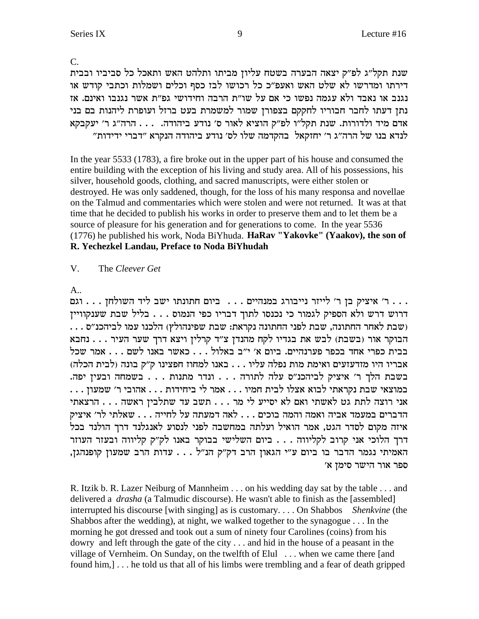R. Itzik b. R. Lazer Neiburg of Mannheim . . . on his wedding day sat by the table . . . and delivered a *drasha* (a Talmudic discourse). He wasn't able to finish as the [assembled] interrupted his discourse [with singing] as is customary.... On Shabbos Shenkvine (the Shabbos after the wedding), at night, we walked together to the synagogue . . . In the morning he got dressed and took out a sum of ninety four Carolines (coins) from his dowry and left through the gate of the city ... and hid in the house of a peasant in the village of Vernheim. On Sunday, on the twelfth of Elul ... when we came there [and found him,  $\lfloor \ldots \rfloor$  he told us that all of his limbs were trembling and a fear of death gripped

 $\overline{C}$ . שנת תקל״ג לפ״ק יצאה הבערה בשטח עליון מביתו ותלהט האש ותאכל כל סביביו ובבית דירתו ומדרשו לא שלט האש ואעפ״כ כל רכושו לבז כסף וכלים ושמלות וכתבי קודש או נגנב או נאבד ולא עגמה נפשו כי אם על שו"ת הרבה וחידושי גפ"ת אשר נגנבו ואינם. אז נתן דעתו לחבר חבוריו לחקקם בצפורן שמור למשמרת בעט ברזל ועופרת ליהנות בם בני אדם מיד ולדורות. שנת תקל"ו לפ"ק הוציא לאור ס' נודע ביהודה. . . . הרה"ג ר' יעקבקא לנדא בנו של הרה"ג ר' יחזקאל בהקדמה שלו לס' נודע ביהודה הנקרא "דברי ידידות"

In the year 5533 (1783), a fire broke out in the upper part of his house and consumed the entire building with the exception of his living and study area. All of his possessions, his silver, household goods, clothing, and sacred manuscripts, were either stolen or destroyed. He was only saddened, though, for the loss of his many responsa and novellae on the Talmud and commentaries which were stolen and were not returned. It was at that time that he decided to publish his works in order to preserve them and to let them be a source of pleasure for his generation and for generations to come. In the year 5536 (1776) he published his work, Noda BiYhuda. HaRav "Yakovke" (Yaakov), the son of R. Yechezkel Landau, Preface to Noda BiYhudah

 $\mathbf{V}$ The Cleever Get

 $A_{\cdot\cdot}$ 

... ר' איציק בן ר' לייזר נייבורג במנהיים ... ביום חתונתו ישב ליד השולחן ... וגם דרוש דרש ולא הספיק לגמור כי נכנסו לתוך דבריו כפי הנמוס . . . בליל שבת שענקוויין (שבת לאחר החתונה, שבת לפני החתונה נקראת: שבת שפינהולץ) הלכנו עמו לביהכנ"ס . . . הבוקר אור (בשבת) לבש את בגדיו לקח מהנדן צ"ד קרלין ויצא דרך שער העיר . . . נחבא בבית כפרי אחד בכפר פערנהיים. ביום א' י"ב באלול . . . כאשר באנו לשם . . . אמר שכל אבריו היו מזדעזעים ואימת מות נפלה עליו . . . באנו למחוז חפצינו ק"ק בונה (לבית הכלה) בשבת הלך ר׳ איציק לביהכנ״ס עלה לתורה . . . ונדר מתנות . . . בשמחה ובעין יפה. אני רוצה לתת גט לאשתי ואם לא יסייע לי מר . . . תשב עד שתלבין ראשה . . . הרצאתי הדברים במעמד אביה ואמה והמה בוכים . . . לאה דמעתה על לחייה . . . שאלתי לר׳ איציק איזה מקום לסדר הגט, אמר הואיל ועלתה במחשבה לפני לנסוע לאנגלנד דרך הולנד בכל דרך הלוכי אני קרוב לקליווה . . . ביום השלישי בבוקר באנו לק"ק קליווה ובעזר העוזר האמיתי נגמר הדבר בו ביום ע"י הגאון הרב דק"ק הנ"ל . . . עדות הרב שמעון קופנהגן, ספר אור הישר סימן א'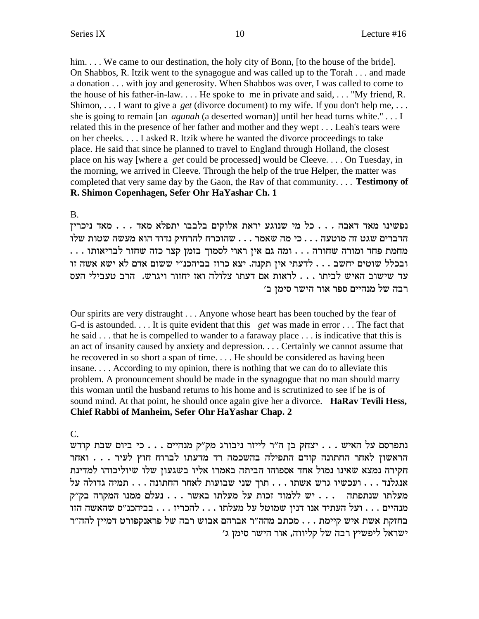him.... We came to our destination, the holy city of Bonn, [to the house of the bride]. On Shabbos, R. Itzik went to the synagogue and was called up to the Torah . . . and made a donation . . . with joy and generosity. When Shabbos was over, I was called to come to the house of his father-in-law.... He spoke to me in private and said,... "My friend, R. Shimon, ... I want to give a *get* (divorce document) to my wife. If you don't help me, ... she is going to remain [an *agunah* (a deserted woman)] until her head turns white."... I related this in the presence of her father and mother and they wept... Leah's tears were on her cheeks.... I asked R. Itzik where he wanted the divorce proceedings to take place. He said that since he planned to travel to England through Holland, the closest place on his way [where a *get* could be processed] would be Cleeve.... On Tuesday, in the morning, we arrived in Cleeve. Through the help of the true Helper, the matter was completed that very same day by the Gaon, the Rav of that community.... **Testimony of** R. Shimon Copenhagen, Sefer Ohr HaYashar Ch. 1

**B.** 

נפשינו מאד דאבה . . . כל מי שנוגע יראת אלוקים בלבבו יתפלא מאד . . . מאד ניכרין הדברים שגט זה מוטעה . . . כי מה שאמר . . . שהוכרח להרחיק נדוד הוא מעשה שטות שלו מחמת פחד ומורה שחורה . . . ומה גם אין ראוי לסמוך בזמן קצר כזה שחזר לבריאותו . . . ובכלל שוטים יחשב . . . לדעתי אין תקנה. יצא כרוז בביהכנ"י ששום אדם לא ישא אשה זו עד שישוב האיש לביתו . . . לראות אם דעתו צלולה ואז יחזור ויגרש. הרב טעבילי העס רבה של מנהיים ספר אור הישר סימן ב׳

Our spirits are very distraught . . . Anyone whose heart has been touched by the fear of G-d is astounded.... It is quite evident that this get was made in error ... The fact that he said ... that he is compelled to wander to a faraway place ... is indicative that this is an act of insanity caused by anxiety and depression.... Certainly we cannot assume that he recovered in so short a span of time.... He should be considered as having been insane.... According to my opinion, there is nothing that we can do to alleviate this problem. A pronouncement should be made in the synagogue that no man should marry this woman until the husband returns to his home and is scrutinized to see if he is of sound mind. At that point, he should once again give her a divorce. **HaRav Tevili Hess,** Chief Rabbi of Manheim, Sefer Ohr HaYashar Chap. 2

C.

נתפרסם על האיש . . . יצחק בן ה"ר לייזר ניבורג מק"ק מנהיים . . . כי ביום שבת קודש הראשון לאחר החתונה קודם התפילה בהשכמה רד מדעתו לברוח חוץ לעיר . . . . ואחר חקירה נמצא שאינו נמול אחד אספוהו הביתה באמרו אליו בשגעון שלו שיוליכוהו למדינת  $\cdot$ י התתונה ... המיה גדולה על ... הוך שני שבועות לאחר החתונה ... תמיה גדולה על מעלתו שנתפתה ... יש ללמוד זכות על מעלתו באשר ... נעלם ממנו המקרה בק"ק מנהיים . . . ועל העתיד אנו דנין שמוטל על מעלתו . . . להכריז . . . בביהכנ״ס שהאשה הזו בחזקת אשת איש קיימת . . . מכתב מהה״ר אברהם אבוש רבה של פראנקפורט דמייז להה״ר ישראל ליפשיץ רבה של קליווה, אור הישר סימן ג'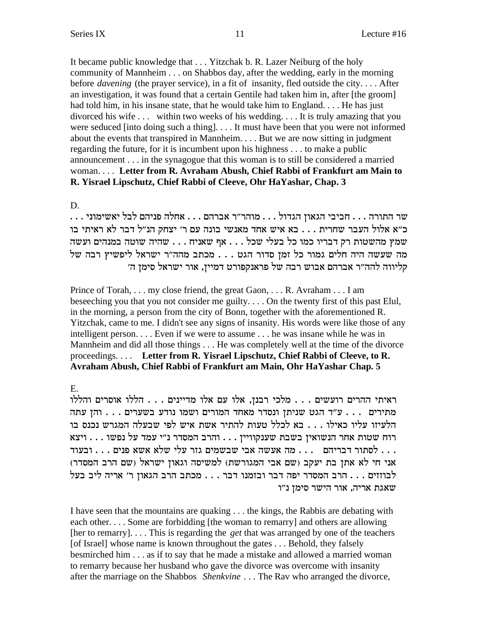It became public knowledge that . . . Yitzchak b. R. Lazer Neiburg of the holy community of Mannheim . . . on Shabbos day, after the wedding, early in the morning before *davening* (the prayer service), in a fit of insanity, fled outside the city.... After an investigation, it was found that a certain Gentile had taken him in, after [the groom] had told him, in his insane state, that he would take him to England... He has just divorced his wife ... within two weeks of his wedding... It is truly amazing that you were seduced [into doing such a thing].... It must have been that you were not informed about the events that transpired in Mannheim.... But we are now sitting in judgment regarding the future, for it is incumbent upon his highness . . . to make a public announcement . . . in the synagogue that this woman is to still be considered a married woman.... Letter from R. Avraham Abush, Chief Rabbi of Frankfurt am Main to R. Yisrael Lipschutz, Chief Rabbi of Cleeve, Ohr HaYashar, Chap. 3

#### D.

כ״א אלול העבר שחרית . . . בא איש אחד מאנשי בונה עם ר׳ יצחק הנ״ל דבר לא ראיתי בו שמץ מהשטות רק דבריו כמו כל בעלי שכל . . . אף שאניח . . . שהיה שוטה במנהים ועשה מה שעשה היה חלים גמור כל זמן סדור הגט . . . מכתב מהה"ר ישראל ליפשיץ רבה של קליווה להה״ר אברהם אבוש רבה של פראנקפורט דמיין, אור ישראל סימן ה׳

Prince of Torah, ... my close friend, the great Gaon, ... R. Avraham ... I am beseeching you that you not consider me guilty.... On the twenty first of this past Elul, in the morning, a person from the city of Bonn, together with the aforementioned R. Yitzchak, came to me. I didn't see any signs of insanity. His words were like those of any intelligent person.... Even if we were to assume ... he was insane while he was in Mannheim and did all those things . . . He was completely well at the time of the divorce proceedings.... Letter from R. Yisrael Lipschutz, Chief Rabbi of Cleeve, to R. Avraham Abush, Chief Rabbi of Frankfurt am Main, Ohr HaYashar Chap. 5

# $E_{\cdot}$

ראיתי ההרים רועשים . . . מלכי רבנן, אלו עם אלו מדיינים . . . הללו אוסרים והללו מתירים . . . ע"ד הגט שניתן ונסדר מאחד המורים ושמו נודע בשערים . . . והן עתה הלעיזו עליו כאילו . . . בא לכלל טעות להתיר אשת איש לפי שבעלה המגרש נכנס בו לסתור דבריהם  $\dots$  מה אעשה אבי שבשמים גזר עלי שלא אשא פנים . . . ובעוד  $\dots$ אני חי לא אתן בת יעקב (שם אבי המגורשת) למשיסה וגאון ישראל (שם הרב המסדר) לבוזזים . . . הרב המסדר יפה דבר ובזמנו דבר . . . מכתב הרב הגאון ר' אריה ליב בעל שאגת אריה, אור הישר סימן נ"ו

I have seen that the mountains are quaking . . . the kings, the Rabbis are debating with each other.... Some are forbidding [the woman to remarry] and others are allowing [her to remarry].... This is regarding the *get* that was arranged by one of the teachers [of Israel] whose name is known throughout the gates . . . Behold, they falsely besmirched him . . . as if to say that he made a mistake and allowed a married woman to remarry because her husband who gave the divorce was overcome with insanity after the marriage on the Shabbos Shenkvine ... The Rav who arranged the divorce,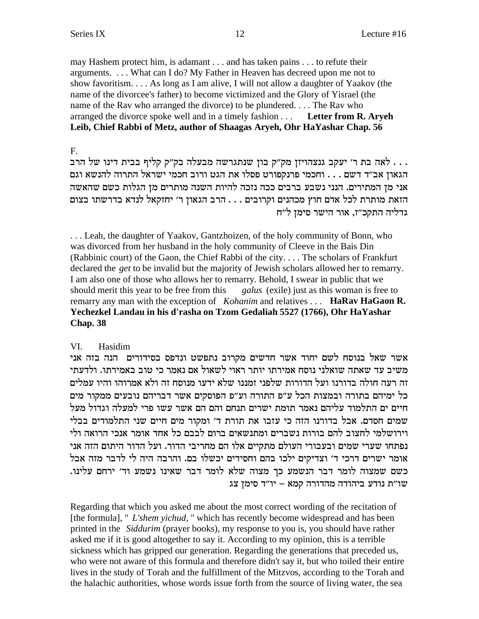may Hashem protect him, is adamant . . . and has taken pains . . . to refute their arguments. . . . What can I do? My Father in Heaven has decreed upon me not to show favoritism. . . . As long as I am alive, I will not allow a daughter of Yaakov (the name of the divorcee's father) to become victimized and the Glory of Yisrael (the name of the Rav who arranged the divorce) to be plundered. . . . The Rav who arranged the divorce spoke well and in a timely fashion . . . **Letter from R. Aryeh Leib, Chief Rabbi of Metz, author of Shaagas Aryeh, Ohr HaYashar Chap. 56**

F.

אה בת ר' יעקב גנצהויזן מק"ק בון שנתגרשה מבעלה בק"ק קליף בבית דינו של הרב. . . הגאון אב״ד דשם . . . וחכמי פרנקפורט פסלו את הגט ורוב חכמי ישראל התרוה להנשא וגם אני מן המתירים. הנני נשבע ברבים ככה נזכה להיות השנה מותרים מן הגלות כשם שהאשה הזאת מותרת לכל אדם חוץ מכהנים וקרובים . . . הרב הגאון ר׳ יחזקאל לנדא בדרשתו בצום גדליה התקכ"ז, אור הישר סימן ל"ח

. . . Leah, the daughter of Yaakov, Gantzhoizen, of the holy community of Bonn, who was divorced from her husband in the holy community of Cleeve in the Bais Din (Rabbinic court) of the Gaon, the Chief Rabbi of the city. . . . The scholars of Frankfurt declared the *get* to be invalid but the majority of Jewish scholars allowed her to remarry. I am also one of those who allows her to remarry. Behold, I swear in public that we should merit this year to be free from this *galus* (exile) just as this woman is free to remarry any man with the exception of *Kohanim* and relatives . . . **HaRav HaGaon R. Yechezkel Landau in his d'rasha on Tzom Gedaliah 5527 (1766), Ohr HaYashar Chap. 38**

# VI. Hasidim

אשר שאל בנוסח לשם יחוד אשר חדשים מקרוב נתפשט ונדפס בסידורים הנה בזה אני משיב עד שאתה שואלני נוסח אמירתו יותר ראוי לשאול אם נאמר כי טוב באמירתו. ולדעתי זה רעה חולה בדורנו ועל הדורות שלפני זמננו שלא ידעו מנוסח זה ולא אמרוהו והיו עמלים כל ימיהם בתורה ובמצות הכל ע״פ התורה וע״פ הפוסקים אשר דבריהם נובעים ממקור מים חיים ים התלמוד עליהם נאמר תומת ישרים תנחם והם הם אשר עשו פרי למעלה וגדול מעל שמים חסדם. אבל בדורנו הזה כי עזבו את תורת ד' ומקור מים חיים שני התלמודים בבלי וירושלמי לחצוב להם בורות נשברים ומתנשאים ברום לבבם כל אחד אומר אנכי הרואה ולי נפתחו שערי שמים ובעבורי העולם מתקיים אלו הם מחריבי הדור. ועל הדור היתום הזה אני אומר ישרים דרכי ד' וצדיקים ילכו בהם וחסידים יכשלו בם. והרבה היה לי לדבר מזה אבל .<br>כשם שמצוה לומר דבר הנשמע כך מצוה שלא לומר דבר שאינו נשמע וד׳ ירחם עלינו  $v$ יו"ת היהודה מהדורה ממא $v$  –  $v^{\prime}$  סימן שו

Regarding that which you asked me about the most correct wording of the recitation of [the formula], " *L'shem yichud,* " which has recently become widespread and has been printed in the *Siddurim* (prayer books), my response to you is, you should have rather asked me if it is good altogether to say it. According to my opinion, this is a terrible sickness which has gripped our generation. Regarding the generations that preceded us, who were not aware of this formula and therefore didn't say it, but who toiled their entire lives in the study of Torah and the fulfillment of the Mitzvos, according to the Torah and the halachic authorities, whose words issue forth from the source of living water, the sea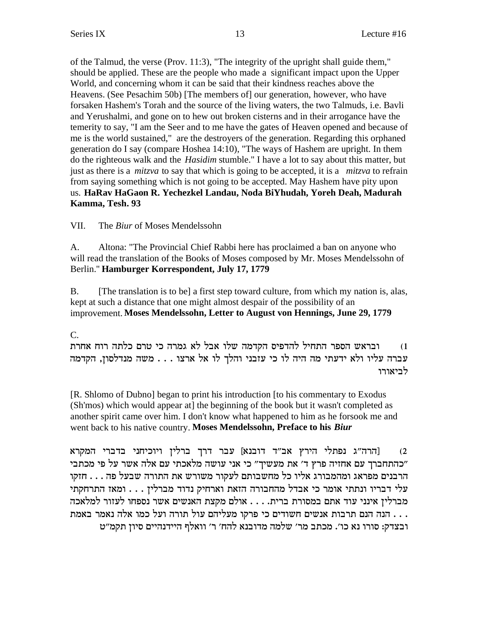of the Talmud, the verse (Prov. 11:3), "The integrity of the upright shall guide them," should be applied. These are the people who made a significant impact upon the Upper World, and concerning whom it can be said that their kindness reaches above the Heavens. (See Pesachim 50b) [The members of] our generation, however, who have forsaken Hashem's Torah and the source of the living waters, the two Talmuds, i.e. Bavli and Yerushalmi, and gone on to hew out broken cisterns and in their arrogance have the temerity to say, "I am the Seer and to me have the gates of Heaven opened and because of me is the world sustained," are the destroyers of the generation. Regarding this orphaned generation do I say (compare Hoshea 14:10), "The ways of Hashem are upright. In them do the righteous walk and the *Hasidim* stumble." I have a lot to say about this matter, but just as there is a *mitzva* to say that which is going to be accepted, it is a *mitzva* to refrain from saying something which is not going to be accepted. May Hashem have pity upon us. **HaRav HaGaon R. Yechezkel Landau, Noda BiYhudah, Yoreh Deah, Madurah Kamma, Tesh. 93**

VII. The *Biur* of Moses Mendelssohn

A. Altona: "The Provincial Chief Rabbi here has proclaimed a ban on anyone who will read the translation of the Books of Moses composed by Mr. Moses Mendelssohn of Berlin." **Hamburger Korrespondent, July 17, 1779**

B. [The translation is to be] a first step toward culture, from which my nation is, alas, kept at such a distance that one might almost despair of the possibility of an improvement. **Moses Mendelssohn, Letter to August von Hennings, June 29, 1779**

# C.

ובראש הספר התחיל להדפיס הקדמה שלו אבל לא גמרה כי טרם כלתה רוח אחרת עברה עליו ולא ידעתי מה היה לו כי עזבני והלך לו אל ארצו . . . משה מנדלסון, הקדמה לביאורו

[R. Shlomo of Dubno] began to print his introduction [to his commentary to Exodus (Sh'mos) which would appear at] the beginning of the book but it wasn't completed as another spirit came over him. I don't know what happened to him as he forsook me and went back to his native country. **Moses Mendelssohn, Preface to his** *Biur*

הרה"ג נפתלי הירץ אב"ד דובנא] עבר דרך ברלין ויוכיחני בדברי המקרא [2 בהתחברך עם אחזיה פרץ ד' את מעשיך" כי אני עושה מלאכתי עם אלה אשר על פי מכתבי" הרבנים מפראג ומהמבורג אליו כל מחשבותם לעקור משורש את התורה שבעל פה  $\dot{\mathbf{z}}$ עלי דבריו ונתתי אומר כי אבדל מהחבורה הזאת וארחיק נדוד מברלין . . . ומאז התרחקתי מברלין אינני עוד אתם במסורת ברית. . . . אולם מקצת האנשים אשר נספחו לעזור למלאכה הנה הנם תרבות אנשים חשודים כי פרקו מעליהם עול תורה ועל כמו אלה נאמר באמת . . . . ובצדק: סורו נא כו׳. מכתב מר׳ שלמה מדובנא להח׳ ר׳ וואלף היידנהיים סיון תקמ״ט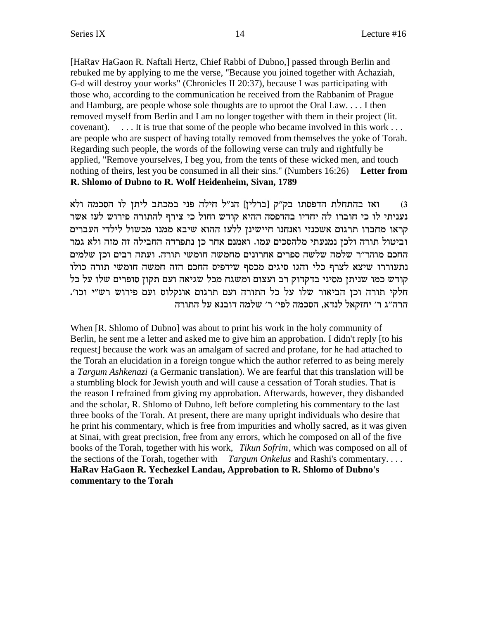[HaRav HaGaon R. Naftali Hertz, Chief Rabbi of Dubno,] passed through Berlin and rebuked me by applying to me the verse, "Because you joined together with Achaziah, G-d will destroy your works" (Chronicles II 20:37), because I was participating with those who, according to the communication he received from the Rabbanim of Prague and Hamburg, are people whose sole thoughts are to uproot the Oral Law.... I then removed myself from Berlin and I am no longer together with them in their project (lit. ... It is true that some of the people who became involved in this work ... covenant). are people who are suspect of having totally removed from themselves the yoke of Torah. Regarding such people, the words of the following verse can truly and rightfully be applied, "Remove yourselves, I beg you, from the tents of these wicked men, and touch nothing of theirs, lest you be consumed in all their sins." (Numbers 16:26) Letter from R. Shlomo of Dubno to R. Wolf Heidenheim, Sivan, 1789

ואז בהתחלת הדפסתו בק"ק [ברלין] הנ"ל חילה פני במכתב ליתן לו הסכמה ולא  $(3)$ נעניתי לו כי חוברו לה יחדיו בהדפסה ההיא קודש וחול כי צירף להתורה פירוש לעז אשר קראו מחברו תרגום אשכנזי ואנחנו חיישינז ללעז ההוא שיבא ממנו מכשול לילדי העברים וביטול תורה ולכן נמנעתי מלהסכים עמו. ואמנם אחר כן נתפרדה החבילה זה מזה ולא גמר החכם מוהר״ר שלמה שלשה ספרים אחרונים מחמשה חומשי תורה. ועתה רבים וכז שלמים נתעוררו שיצא לצרף כלי והגו סיגים מכסף שידפיס החכם הזה חמשה חומשי תורה כולו קודש כמו שניתן מסיני בדקדוק רב ועצום ומשגח מכל שגיאה ועם תקון סופרים שלו על כל חלקי תורה וכן הביאור שלו על כל התורה ועם תרגום אונקלוס ועם פירוש רש"י וכו'. הרה"ג ר' יחזקאל לנדא, הסכמה לפי' ר' שלמה דובנא על התורה

When [R. Shlomo of Dubno] was about to print his work in the holy community of Berlin, he sent me a letter and asked me to give him an approbation. I didn't reply [to his request] because the work was an amalgam of sacred and profane, for he had attached to the Torah an elucidation in a foreign tongue which the author referred to as being merely a Targum Ashkenazi (a Germanic translation). We are fearful that this translation will be a stumbling block for Jewish youth and will cause a cessation of Torah studies. That is the reason I refrained from giving my approbation. Afterwards, however, they disbanded and the scholar, R. Shlomo of Dubno, left before completing his commentary to the last three books of the Torah. At present, there are many upright individuals who desire that the print his commentary, which is free from impurities and wholly sacred, as it was given at Sinai, with great precision, free from any errors, which he composed on all of the five books of the Torah, together with his work, Tikun Sofrim, which was composed on all of the sections of the Torah, together with *Targum Onkelus* and Rashi's commentary.... HaRav HaGaon R. Yechezkel Landau, Approbation to R. Shlomo of Dubno's commentary to the Torah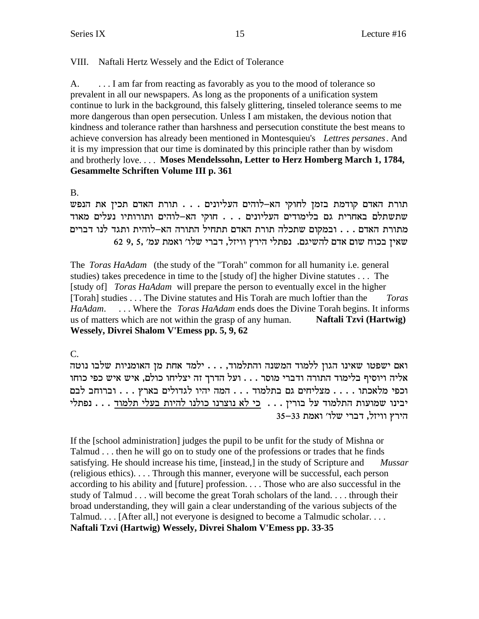# VIII. Naftali Hertz Wessely and the Edict of Tolerance

... I am far from reacting as favorably as you to the mood of tolerance so A. prevalent in all our newspapers. As long as the proponents of a unification system continue to lurk in the background, this falsely glittering, tinseled tolerance seems to me more dangerous than open persecution. Unless I am mistaken, the devious notion that kindness and tolerance rather than harshness and persecution constitute the best means to achieve conversion has already been mentioned in Montesquieu's Lettres persanes. And it is my impression that our time is dominated by this principle rather than by wisdom and brotherly love.... Moses Mendelssohn, Letter to Herz Homberg March 1, 1784, **Gesammelte Schriften Volume III p. 361** 

 $B<sub>1</sub>$ 

תורת האדם קודמת בזמן לחוקי הא-לוהים העליונים . . . תורת האדם תכין את הנפש שתשתלם באחרית גם בלימודים העליונים . . . חוקי הא-לוהים ותורותיו נעלים מאוד מתורת האדם . . . ובמקום שתכלה תורת האדם תתחיל התורה הא–לוהית ותגד לנו דברים שאין בכוח שום אדם להשיגם. נפתלי הירץ וויזל, דברי שלו' ואמת עמ' ,5 62 62

The *Toras HaAdam* (the study of the "Torah" common for all humanity i.e. general studies) takes precedence in time to the [study of] the higher Divine statutes . . . The [study of] *Toras HaAdam* will prepare the person to eventually excel in the higher [Torah] studies . . . The Divine statutes and His Torah are much loftier than the **Toras** HaAdam. ... Where the *Toras HaAdam* ends does the Divine Torah begins. It informs us of matters which are not within the grasp of any human. Naftali Tzvi (Hartwig) Wessely, Divrei Shalom V'Emess pp. 5, 9, 62

 $\mathcal{C}$ .

ואם ישפטו שאינו הגון ללמוד המשנה והתלמוד, . . . ילמד אחת מן האומניות שלבו נוטה אליה ויוסיף בלימוד התורה ודברי מוסר . . . ועל הדרך זה יצליחו כולם, איש איש כפי כוחו וכפי מלאכתו . . . . מצליחים גם בתלמוד . . . המה יהיו לגדולים בארץ . . . וברוחב לבם יבינו שמועות התלמוד על בורין . . . כי לא נוצרנו כולנו להיות בעלי תלמוד . . . נפתלי הירץ וויזל, דברי שלו׳ ואמת 35–33

If the [school administration] judges the pupil to be unfit for the study of Mishna or Talmud . . . then he will go on to study one of the professions or trades that he finds satisfying. He should increase his time, [instead,] in the study of Scripture and **Mussar** (religious ethics).... Through this manner, everyone will be successful, each person according to his ability and [future] profession.... Those who are also successful in the study of Talmud  $\ldots$  will become the great Torah scholars of the land... through their broad understanding, they will gain a clear understanding of the various subjects of the Talmud.... [After all,] not everyone is designed to become a Talmudic scholar.... Naftali Tzvi (Hartwig) Wessely, Divrei Shalom V'Emess pp. 33-35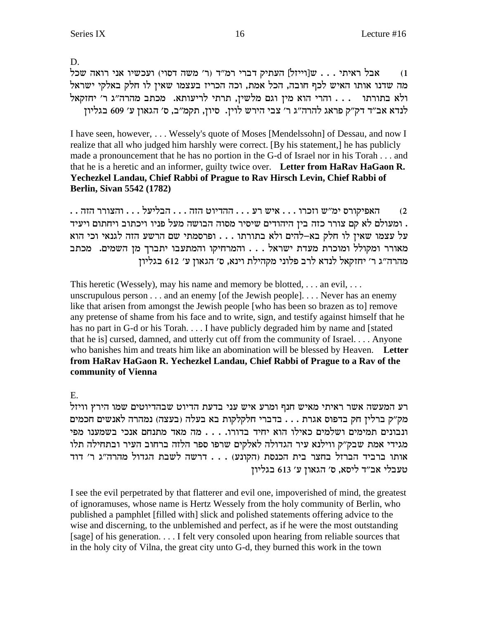D.

ועכשיו אני רואה שכל  $\mathbb{R}^2$ ן העתיק דברי רמ"ד (ר' משה דסוי) ועכשיו אני רואה שכל  $(1$ מה שדנו אותו האיש לכף חובה, הכל אמת, וכה הכריז בעצמו שאין לו חלק באלקי ישראל ולא בתורתו ... והרי הוא מין וגם מלשין, תרתי לריעותא. מכתב מהרה"ג ר' יחזקאל לנדא אב"ד דק"ק פראג להרה"ג ר' צבי הירש לוין. סיון, תקמ"ב, ס' הגאון ע' 609 בגליון

I have seen, however, . . . Wessely's quote of Moses [Mendelssohn] of Dessau, and now I realize that all who judged him harshly were correct. [By his statement,] he has publicly made a pronouncement that he has no portion in the G-d of Israel nor in his Torah . . . and that he is a heretic and an informer, guilty twice over. **Letter from HaRav HaGaon R. Yechezkel Landau, Chief Rabbi of Prague to Rav Hirsch Levin, Chief Rabbi of Berlin, Sivan 5542 (1782)**

 $\dots$ האפיקורס ימ״ש וזכרו $\dots$  . איש רע $\dots$  ההדיוט הזה . . . הבליעל $\dots$  . . הצורר הזה . ומעולם לא קם צורר כזה בין היהודים שיסיר מסוה הבושה מעל פניו ויכתוב ויחתום ויעיד על עצמו שאין לו חלק בא-להים ולא בתורתו . . . ופרסמתי שם הרשע הזה לגנאי וכי הוא מאורר ומקולל ומוכרת מעדת ישראל . . . והמרחיקו והמתעבו יתברך מן השמים. מכתב מהרה"ג ר' יחזקאל לנדא לרב פלוני מקהילת וינא, ס' הגאון ע' 612 בגליון

This heretic (Wessely), may his name and memory be blotted, ... an evil, ... unscrupulous person . . . and an enemy [of the Jewish people]. . . . Never has an enemy like that arisen from amongst the Jewish people [who has been so brazen as to] remove any pretense of shame from his face and to write, sign, and testify against himself that he has no part in G-d or his Torah. . . . I have publicly degraded him by name and [stated] that he is] cursed, damned, and utterly cut off from the community of Israel. . . . Anyone who banishes him and treats him like an abomination will be blessed by Heaven. **Letter from HaRav HaGaon R. Yechezkel Landau, Chief Rabbi of Prague to a Rav of the community of Vienna**

E.

רע המעשה אשר ראיתי מאיש חנף ומרע איש עני בדעת הדיוט שבהדיוטים שמו הירץ וויזל מק״ק ברלין חק בדפוס אגרת . . . בדברי חלקלקות בא בעלה (בעצה) נמהרה לאנשים חכמים ונבונים תמימים ושלמים כאילו הוא יחיד בדורו. . . . מה מאד מתנחם אנכי בשמענו מפי מגידי אמת שבק"ק ווילנא עיר הגדולה לאלקים שרפו ספר הלזה ברחוב העיר ובתחילה תלו אותו ברביד הברזל בחצר בית הכנסת (הקונע) . . . דרשה לשבת הגדול מהרה"ג ר' דוד טעבלי אב"ד ליסא, ס' הגאון ע' 613 בגליון

I see the evil perpetrated by that flatterer and evil one, impoverished of mind, the greatest of ignoramuses, whose name is Hertz Wessely from the holy community of Berlin, who published a pamphlet [filled with] slick and polished statements offering advice to the wise and discerning, to the unblemished and perfect, as if he were the most outstanding [sage] of his generation. . . . I felt very consoled upon hearing from reliable sources that in the holy city of Vilna, the great city unto G-d, they burned this work in the town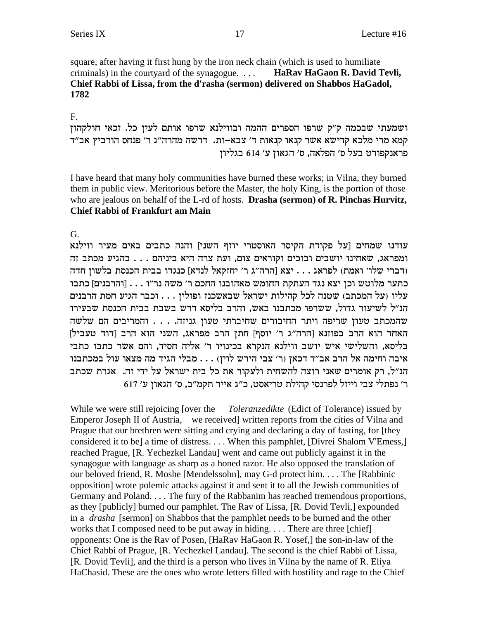square, after having it first hung by the iron neck chain (which is used to humiliate criminals) in the courtyard of the synagogue. ... HaRav HaGaon R. David Tevli, Chief Rabbi of Lissa, from the d'rasha (sermon) delivered on Shabbos HaGadol, 1782

 $F_{\cdot}$ 

ושמעתי שבכמה ק"ק שרפו הספרים ההמה ובווילנא שרפו אותם לעין כל. זכאי חולקהון קמא מרי מלכא קדישא אשר קנאו קנאות ד' צבא-ות. דרשה מהרה"ג ר' פנחס הורביץ אב"ד פראנקפורט בעל ס׳ הפלאה, ס׳ הגאון ע׳ 614 בגליון

I have heard that many holy communities have burned these works; in Vilna, they burned them in public view. Meritorious before the Master, the holy King, is the portion of those who are jealous on behalf of the L-rd of hosts. Drasha (sermon) of R. Pinchas Hurvitz, **Chief Rabbi of Frankfurt am Main** 

G.

עודנו שמחים [על פקודת הקיסר האוסטרי יוזף השני] והנה כתבים באים מעיר ווילנא ומפראג, שאחינו יושבים ובוכים וקוראים צום, ועת צרה היא ביניהם . . . בהגיע מכתב זה (דברי שלו' ואמת) לפראג . . . יצא [הרה"ג ר' יחזקאל לנדא] כנגדו בבית הכנסת בלשון חדה כתער מלוטש וכן יצא נגד העתקת החומש מאהובנו החכם ר׳ משה נר״ו . . . [והרבנים] כתבו עליו (על המכתב) שטנה לכל קהילות ישראל שבאשכנז ופולין . . . וכבר הגיע חמת הרבנים הנ״ל לשיעור גדול, ששרפו מכתבנו באש, והרב בליסא דרש בשבת בבית הכנסת שבעירו שהמכתב טעון שריפה ויתר החיבורים שחיברתי טעון גניזה. . . . והמריבים הם שלשה האחד הוא הרב בפוזנא [הרה"ג ר' יוסף] חתן הרב מפראג, השני הוא הרב [דוד טעביל] בליסא, והשלישי איש יושב ווילנא הנקרא בכינויו ר׳ אליה חסיד, והם אשר כתבו כתבי איבה וחימה אל הרב אב״ד דכאן (ר׳ צבי הירש לוין) . . . מבלי הגיד מה מצאו עול במכתבנו הנ"ל, רק אומרים שאני רוצה להשחית ולעקור את כל בית ישראל על ידי זה. אגרת שכתב ר׳ נפתלי צבי וייזל לפרנסי קהילת טריאסט, כ״ג אייר תקמ״ב, ס׳ הגאון ע׳ 617

Toleranzedikte (Edict of Tolerance) issued by While we were still rejoicing [over the Emperor Joseph II of Austria, we received written reports from the cities of Vilna and Prague that our brethren were sitting and crying and declaring a day of fasting, for [they] considered it to be] a time of distress.... When this pamphlet, [Divrei Shalom V'Emess,] reached Prague, [R. Yechezkel Landau] went and came out publicly against it in the synagogue with language as sharp as a honed razor. He also opposed the translation of our beloved friend, R. Moshe [Mendelssohn], may G-d protect him.... The [Rabbinic] opposition] wrote polemic attacks against it and sent it to all the Jewish communities of Germany and Poland.... The fury of the Rabbanim has reached tremendous proportions, as they [publicly] burned our pamphlet. The Rav of Lissa, [R. Dovid Tevli,] expounded in a *drasha* [sermon] on Shabbos that the pamphlet needs to be burned and the other works that I composed need to be put away in hiding.... There are three [chief] opponents: One is the Rav of Posen, [HaRav HaGaon R. Yosef,] the son-in-law of the Chief Rabbi of Prague, [R. Yechezkel Landau]. The second is the chief Rabbi of Lissa, [R. Dovid Tevli], and the third is a person who lives in Vilna by the name of R. Eliya HaChasid. These are the ones who wrote letters filled with hostility and rage to the Chief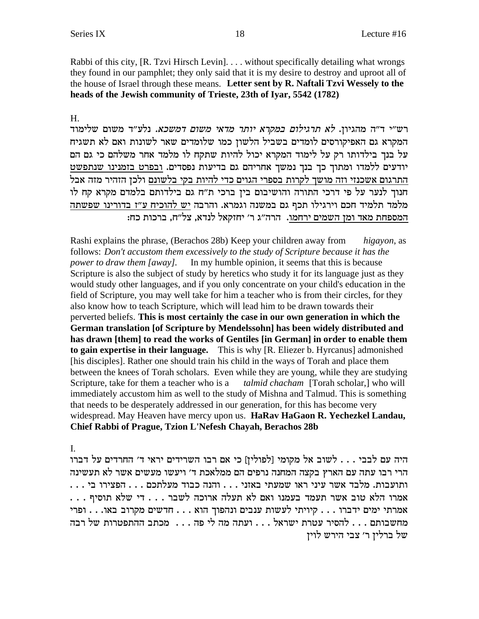Rabbi of this city, [R. Tzvi Hirsch Levin].... without specifically detailing what wrongs they found in our pamphlet; they only said that it is my desire to destroy and uproot all of the house of Israel through these means. Letter sent by R. Naftali Tzvi Wessely to the heads of the Jewish community of Trieste, 23th of Iyar, 5542 (1782)

#### Н.

רש״י ד״ה מהגיון. *לא תרגילום במקרא יותר מדאי משום דמשכא.* נלע״ד משום שלימוד המקרא גם האפיקורסים לומדים בשביל הלשון כמו שלומדים שאר לשונות ואם לא תשגיח על בנך בילדותו רק על לימוד המקרא יכול להיות שתקח לו מלמד אחר משלהם כי גם הם יודעים ללמדו ומתוך כך בנך נמשך אחריהם גם בדיעות נפסדים. ובפרט בזמנינו שנתפשט התרגום אשכנזי וזה מושך לקרות בספרי הגוים כדי להיות בקי בלשונם ולכן הזהיר מזה אבל חנוך לנער על פי דרכי התורה והושיבום בין ברכי ת"ח גם בילדותם בלמדם מקרא קח לו מלמד תלמיד חכם וירגילו תכף גם במשנה וגמרא. והרבה יש להוכיח ע"ז בדורינו שפשתה המספחת מאד ומן השמים ירחמו. הרה"ג ר' יחזקאל לנדא, צל"ח, ברכות כח:

Rashi explains the phrase, (Berachos 28b) Keep your children away from higayon, as follows: Don't accustom them excessively to the study of Scripture because it has the power to draw them [away]. In my humble opinion, it seems that this is because Scripture is also the subject of study by heretics who study it for its language just as they would study other languages, and if you only concentrate on your child's education in the field of Scripture, you may well take for him a teacher who is from their circles, for they also know how to teach Scripture, which will lead him to be drawn towards their perverted beliefs. This is most certainly the case in our own generation in which the German translation [of Scripture by Mendelssohn] has been widely distributed and has drawn [them] to read the works of Gentiles [in German] in order to enable them to gain expertise in their language. This is why [R. Eliezer b. Hyrcanus] admonished [his disciples]. Rather one should train his child in the ways of Torah and place them between the knees of Torah scholars. Even while they are young, while they are studying Scripture, take for them a teacher who is a talmid chacham [Torah scholar,] who will immediately accustom him as well to the study of Mishna and Talmud. This is something that needs to be desperately addressed in our generation, for this has become very widespread. May Heaven have mercy upon us. HaRav HaGaon R. Yechezkel Landau, Chief Rabbi of Prague, Tzion L'Nefesh Chayah, Berachos 28b

I.

היה עם לבבי . . . לשוב אל מקומי [לפולין] כי אם רבו השרידים יראי ד׳ החרדים על דברו הרי רבו עתה עם הארץ בקצה המחנה נרפים הם ממלאכת ד׳ ויעשו מעשים אשר לא תעשינה ... הפצירו בי הפצירו שמעתי באזני ... והנה כבוד מעלתכם ... הפצירו בי אמרתי ימים ידברו . . . קיויתי לעשות ענבים ונהפוך הוא . . . חדשים מקרוב באו. . . ופרי מחשבותם . . . להסיר עטרת ישראל . . . ועתה מה לי פה . . . מכתב ההתפטרות של רבה של ברליז ר׳ צבי הירש לויז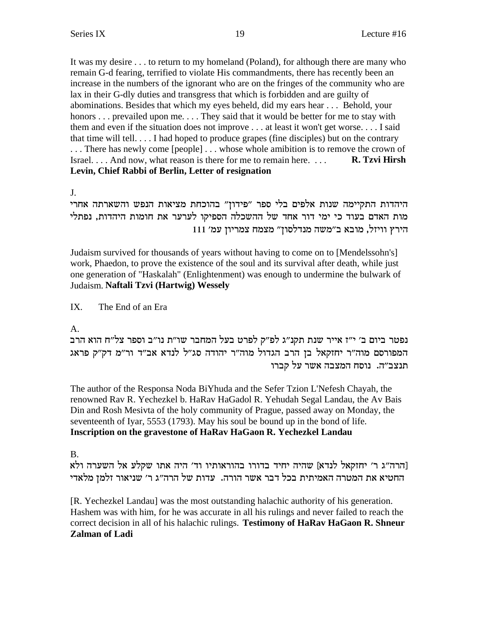It was my desire . . . to return to my homeland (Poland), for although there are many who remain G-d fearing, terrified to violate His commandments, there has recently been an increase in the numbers of the ignorant who are on the fringes of the community who are lax in their G-dly duties and transgress that which is forbidden and are guilty of abominations. Besides that which my eyes beheld, did my ears hear . . . Behold, your honors ... prevailed upon me.... They said that it would be better for me to stay with them and even if the situation does not improve ... at least it won't get worse... I said that time will tell... I had hoped to produce grapes (fine disciples) but on the contrary ... There has newly come [people] ... whose whole amibition is to remove the crown of Israel.... And now, what reason is there for me to remain here... R. Tzvi Hirsh Levin, Chief Rabbi of Berlin, Letter of resignation

 $J<sub>1</sub>$ 

היהדות התקיימה שנות אלפים בלי ספר ״פידון״ בהוכחת מציאות הנפש והשארתה אחרי מות האדם בעוד כי ימי דור אחד של ההשכלה הספיקו לערער את חומות היהדות, נפתלי הירץ וויזל, מובא ב"משה מנדלסוז" מצמח צמריוז עמ' 111

Judaism survived for thousands of years without having to come on to [Mendelssohn's] work, Phaedon, to prove the existence of the soul and its survival after death, while just one generation of "Haskalah" (Enlightenment) was enough to undermine the bulwark of Judaism. Naftali Tzvi (Hartwig) Wessely

 $IX$ The End of an Era

A.

נפטר ביום ב׳ י״ז אייר שנת תקנ״ג לפ״ק לפרט בעל המחבר שו״ת נו״ב וספר צל״ח הוא הרב המפורסם מוה"ר יחזקאל בן הרב הגדול מוה"ר יהודה סג"ל לנדא אב"ד ור"מ דק"ק פראג תנצב״ה. נוסח המצבה אשר על קברו

The author of the Responsa Noda BiYhuda and the Sefer Tzion L'Nefesh Chayah, the renowned Rav R. Yechezkel b. HaRav HaGadol R. Yehudah Segal Landau, the Av Bais Din and Rosh Mesivta of the holy community of Prague, passed away on Monday, the seventeenth of Iyar, 5553 (1793). May his soul be bound up in the bond of life. Inscription on the gravestone of HaRav HaGaon R. Yechezkel Landau

**B.** 

[הרה"ג ר' יחזקאל לנדא] שהיה יחיד בדורו בהוראותיו וד' היה אתו שקלע אל השערה ולא החטיא את המטרה האמיתית בכל דבר אשר הורה. עדות של הרה״ג ר׳ שניאור זלמן מלאדי

[R. Yechezkel Landau] was the most outstanding halachic authority of his generation. Hashem was with him, for he was accurate in all his rulings and never failed to reach the correct decision in all of his halachic rulings. Testimony of HaRav HaGaon R. Shneur **Zalman of Ladi**